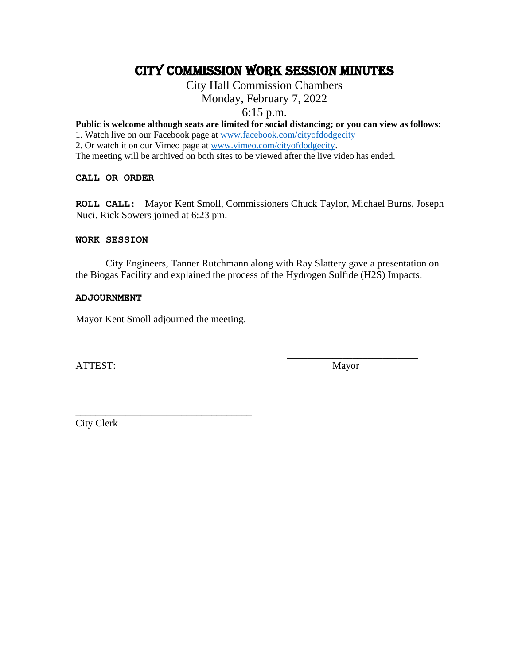# CITY COMMISSION work session MINUTES

# City Hall Commission Chambers

Monday, February 7, 2022

6:15 p.m.

**Public is welcome although seats are limited for social distancing; or you can view as follows:**

1. Watch live on our Facebook page at [www.facebook.com/cityofdodgecity](http://www.facebook.com/cityofdodgecity)

2. Or watch it on our Vimeo page at [www.vimeo.com/cityofdodgecity.](http://www.vimeo.com/cityofdodgecity)

The meeting will be archived on both sites to be viewed after the live video has ended.

**CALL OR ORDER**

**ROLL CALL:** Mayor Kent Smoll, Commissioners Chuck Taylor, Michael Burns, Joseph Nuci. Rick Sowers joined at 6:23 pm.

# **WORK SESSION**

City Engineers, Tanner Rutchmann along with Ray Slattery gave a presentation on the Biogas Facility and explained the process of the Hydrogen Sulfide (H2S) Impacts.

# **ADJOURNMENT**

Mayor Kent Smoll adjourned the meeting.

\_\_\_\_\_\_\_\_\_\_\_\_\_\_\_\_\_\_\_\_\_\_\_\_\_\_\_\_\_\_\_\_\_\_\_

ATTEST: Mayor

\_\_\_\_\_\_\_\_\_\_\_\_\_\_\_\_\_\_\_\_\_\_\_\_\_\_

City Clerk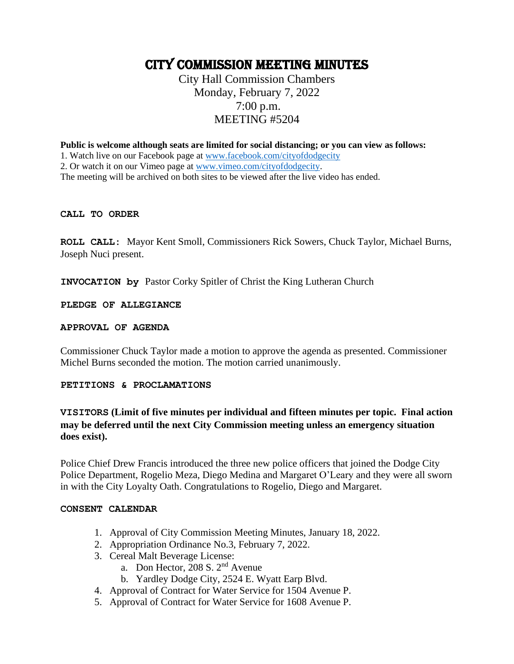# CITY COMMISSION MEETING minutes

# City Hall Commission Chambers Monday, February 7, 2022 7:00 p.m. MEETING #5204

**Public is welcome although seats are limited for social distancing; or you can view as follows:**

1. Watch live on our Facebook page at [www.facebook.com/cityofdodgecity](http://www.facebook.com/cityofdodgecity)

2. Or watch it on our Vimeo page at [www.vimeo.com/cityofdodgecity.](http://www.vimeo.com/cityofdodgecity)

The meeting will be archived on both sites to be viewed after the live video has ended.

#### **CALL TO ORDER**

**ROLL CALL:** Mayor Kent Smoll, Commissioners Rick Sowers, Chuck Taylor, Michael Burns, Joseph Nuci present.

**INVOCATION by** Pastor Corky Spitler of Christ the King Lutheran Church

**PLEDGE OF ALLEGIANCE** 

# **APPROVAL OF AGENDA**

Commissioner Chuck Taylor made a motion to approve the agenda as presented. Commissioner Michel Burns seconded the motion. The motion carried unanimously.

# **PETITIONS & PROCLAMATIONS**

# **VISITORS (Limit of five minutes per individual and fifteen minutes per topic. Final action may be deferred until the next City Commission meeting unless an emergency situation does exist).**

Police Chief Drew Francis introduced the three new police officers that joined the Dodge City Police Department, Rogelio Meza, Diego Medina and Margaret O'Leary and they were all sworn in with the City Loyalty Oath. Congratulations to Rogelio, Diego and Margaret.

#### **CONSENT CALENDAR**

- 1. Approval of City Commission Meeting Minutes, January 18, 2022.
- 2. Appropriation Ordinance No.3, February 7, 2022.
- 3. Cereal Malt Beverage License:
	- a. Don Hector, 208 S. 2nd Avenue
	- b. Yardley Dodge City, 2524 E. Wyatt Earp Blvd.
- 4. Approval of Contract for Water Service for 1504 Avenue P.
- 5. Approval of Contract for Water Service for 1608 Avenue P.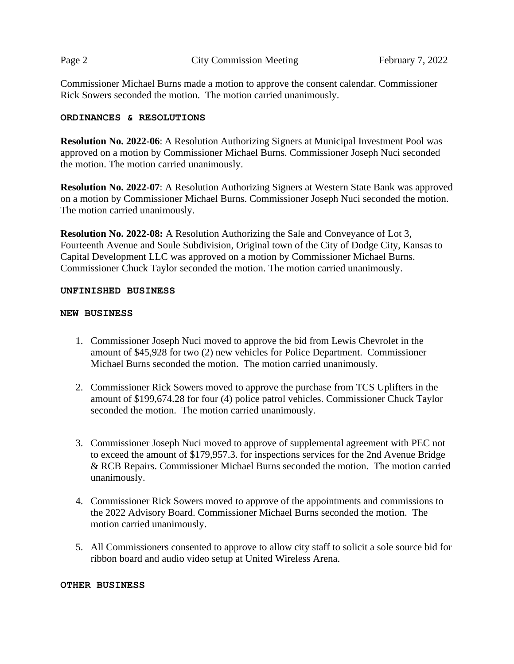**Page 2 City Commission Meeting February 7, 2022** 

Commissioner Michael Burns made a motion to approve the consent calendar. Commissioner Rick Sowers seconded the motion. The motion carried unanimously.

# **ORDINANCES & RESOLUTIONS**

**Resolution No. 2022-06**: A Resolution Authorizing Signers at Municipal Investment Pool was approved on a motion by Commissioner Michael Burns. Commissioner Joseph Nuci seconded the motion. The motion carried unanimously.

**Resolution No. 2022-07**: A Resolution Authorizing Signers at Western State Bank was approved on a motion by Commissioner Michael Burns. Commissioner Joseph Nuci seconded the motion. The motion carried unanimously.

**Resolution No. 2022-08:** A Resolution Authorizing the Sale and Conveyance of Lot 3, Fourteenth Avenue and Soule Subdivision, Original town of the City of Dodge City, Kansas to Capital Development LLC was approved on a motion by Commissioner Michael Burns. Commissioner Chuck Taylor seconded the motion. The motion carried unanimously.

# **UNFINISHED BUSINESS**

# **NEW BUSINESS**

- 1. Commissioner Joseph Nuci moved to approve the bid from Lewis Chevrolet in the amount of \$45,928 for two (2) new vehicles for Police Department. Commissioner Michael Burns seconded the motion. The motion carried unanimously.
- 2. Commissioner Rick Sowers moved to approve the purchase from TCS Uplifters in the amount of \$199,674.28 for four (4) police patrol vehicles. Commissioner Chuck Taylor seconded the motion. The motion carried unanimously.
- 3. Commissioner Joseph Nuci moved to approve of supplemental agreement with PEC not to exceed the amount of \$179,957.3. for inspections services for the 2nd Avenue Bridge & RCB Repairs. Commissioner Michael Burns seconded the motion. The motion carried unanimously.
- 4. Commissioner Rick Sowers moved to approve of the appointments and commissions to the 2022 Advisory Board. Commissioner Michael Burns seconded the motion. The motion carried unanimously.
- 5. All Commissioners consented to approve to allow city staff to solicit a sole source bid for ribbon board and audio video setup at United Wireless Arena.

# **OTHER BUSINESS**